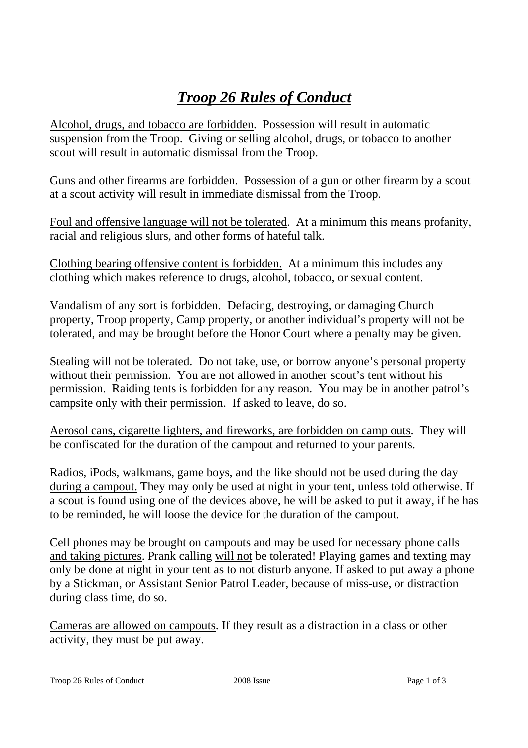## *Troop 26 Rules of Conduct*

Alcohol, drugs, and tobacco are forbidden. Possession will result in automatic suspension from the Troop. Giving or selling alcohol, drugs, or tobacco to another scout will result in automatic dismissal from the Troop.

Guns and other firearms are forbidden. Possession of a gun or other firearm by a scout at a scout activity will result in immediate dismissal from the Troop.

Foul and offensive language will not be tolerated. At a minimum this means profanity, racial and religious slurs, and other forms of hateful talk.

Clothing bearing offensive content is forbidden. At a minimum this includes any clothing which makes reference to drugs, alcohol, tobacco, or sexual content.

Vandalism of any sort is forbidden. Defacing, destroying, or damaging Church property, Troop property, Camp property, or another individual's property will not be tolerated, and may be brought before the Honor Court where a penalty may be given.

Stealing will not be tolerated. Do not take, use, or borrow anyone's personal property without their permission. You are not allowed in another scout's tent without his permission. Raiding tents is forbidden for any reason. You may be in another patrol's campsite only with their permission. If asked to leave, do so.

Aerosol cans, cigarette lighters, and fireworks, are forbidden on camp outs. They will be confiscated for the duration of the campout and returned to your parents.

Radios, iPods, walkmans, game boys, and the like should not be used during the day during a campout. They may only be used at night in your tent, unless told otherwise. If a scout is found using one of the devices above, he will be asked to put it away, if he has to be reminded, he will loose the device for the duration of the campout.

Cell phones may be brought on campouts and may be used for necessary phone calls and taking pictures. Prank calling will not be tolerated! Playing games and texting may only be done at night in your tent as to not disturb anyone. If asked to put away a phone by a Stickman, or Assistant Senior Patrol Leader, because of miss-use, or distraction during class time, do so.

Cameras are allowed on campouts. If they result as a distraction in a class or other activity, they must be put away.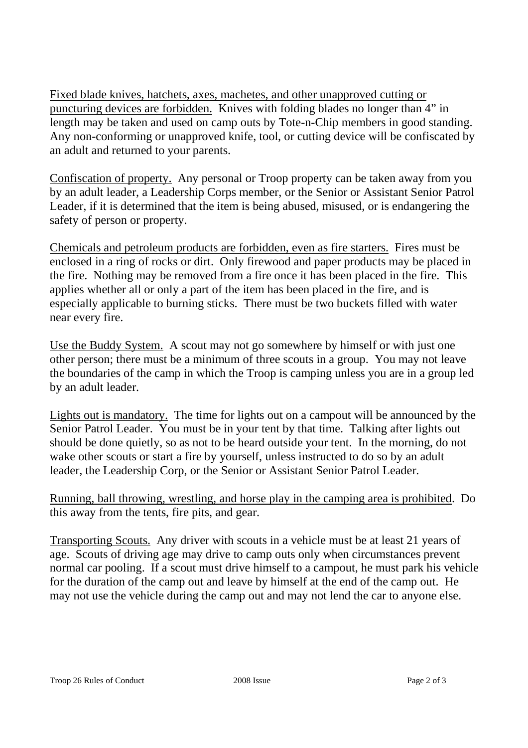Fixed blade knives, hatchets, axes, machetes, and other unapproved cutting or puncturing devices are forbidden. Knives with folding blades no longer than 4" in length may be taken and used on camp outs by Tote-n-Chip members in good standing. Any non-conforming or unapproved knife, tool, or cutting device will be confiscated by an adult and returned to your parents.

Confiscation of property. Any personal or Troop property can be taken away from you by an adult leader, a Leadership Corps member, or the Senior or Assistant Senior Patrol Leader, if it is determined that the item is being abused, misused, or is endangering the safety of person or property.

Chemicals and petroleum products are forbidden, even as fire starters. Fires must be enclosed in a ring of rocks or dirt. Only firewood and paper products may be placed in the fire. Nothing may be removed from a fire once it has been placed in the fire. This applies whether all or only a part of the item has been placed in the fire, and is especially applicable to burning sticks. There must be two buckets filled with water near every fire.

Use the Buddy System. A scout may not go somewhere by himself or with just one other person; there must be a minimum of three scouts in a group. You may not leave the boundaries of the camp in which the Troop is camping unless you are in a group led by an adult leader.

Lights out is mandatory. The time for lights out on a campout will be announced by the Senior Patrol Leader. You must be in your tent by that time. Talking after lights out should be done quietly, so as not to be heard outside your tent. In the morning, do not wake other scouts or start a fire by yourself, unless instructed to do so by an adult leader, the Leadership Corp, or the Senior or Assistant Senior Patrol Leader.

Running, ball throwing, wrestling, and horse play in the camping area is prohibited. Do this away from the tents, fire pits, and gear.

Transporting Scouts. Any driver with scouts in a vehicle must be at least 21 years of age. Scouts of driving age may drive to camp outs only when circumstances prevent normal car pooling. If a scout must drive himself to a campout, he must park his vehicle for the duration of the camp out and leave by himself at the end of the camp out. He may not use the vehicle during the camp out and may not lend the car to anyone else.